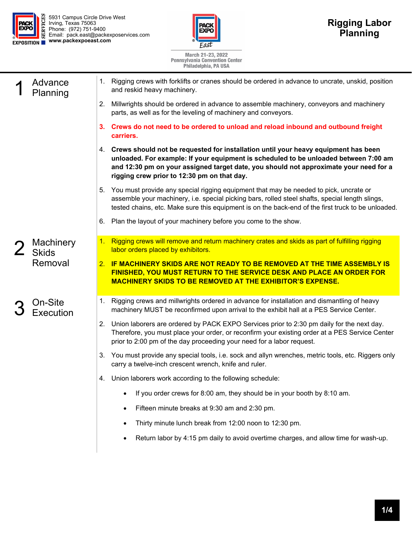

5931 Campus Circle Drive West Irving, Texas 75063 Phone: (972) 751-9400 Email: pack.east@packexposervices.com **www.packexpoeast.com** 



|                                  |    | March 21-23, 2022<br><b>Pennsylvania Convention Center</b><br>Philadelphia, PA USA                                                                                                                                                                                                                                    |
|----------------------------------|----|-----------------------------------------------------------------------------------------------------------------------------------------------------------------------------------------------------------------------------------------------------------------------------------------------------------------------|
| Advance<br>Planning              | 1. | Rigging crews with forklifts or cranes should be ordered in advance to uncrate, unskid, position<br>and reskid heavy machinery.                                                                                                                                                                                       |
|                                  | 2. | Millwrights should be ordered in advance to assemble machinery, conveyors and machinery<br>parts, as well as for the leveling of machinery and conveyors.                                                                                                                                                             |
|                                  | 3. | Crews do not need to be ordered to unload and reload inbound and outbound freight<br>carriers.                                                                                                                                                                                                                        |
|                                  |    | 4. Crews should not be requested for installation until your heavy equipment has been<br>unloaded. For example: If your equipment is scheduled to be unloaded between 7:00 am<br>and 12:30 pm on your assigned target date, you should not approximate your need for a<br>rigging crew prior to 12:30 pm on that day. |
|                                  |    | 5. You must provide any special rigging equipment that may be needed to pick, uncrate or<br>assemble your machinery, i.e. special picking bars, rolled steel shafts, special length slings,<br>tested chains, etc. Make sure this equipment is on the back-end of the first truck to be unloaded.                     |
|                                  | 6. | Plan the layout of your machinery before you come to the show.                                                                                                                                                                                                                                                        |
| <b>Machinery</b><br><b>Skids</b> |    | Rigging crews will remove and return machinery crates and skids as part of fulfilling rigging<br>labor orders placed by exhibitors.                                                                                                                                                                                   |
| Removal                          |    | 2. IF MACHINERY SKIDS ARE NOT READY TO BE REMOVED AT THE TIME ASSEMBLY IS<br>FINISHED, YOU MUST RETURN TO THE SERVICE DESK AND PLACE AN ORDER FOR<br><b>MACHINERY SKIDS TO BE REMOVED AT THE EXHIBITOR'S EXPENSE.</b>                                                                                                 |
| On-Site<br>Execution             | 1. | Rigging crews and millwrights ordered in advance for installation and dismantling of heavy<br>machinery MUST be reconfirmed upon arrival to the exhibit hall at a PES Service Center.                                                                                                                                 |
|                                  |    | 2. Union laborers are ordered by PACK EXPO Services prior to 2:30 pm daily for the next day.<br>Therefore, you must place your order, or reconfirm your existing order at a PES Service Center<br>prior to 2:00 pm of the day proceeding your need for a labor request.                                               |
|                                  |    | 3. You must provide any special tools, i.e. sock and allyn wrenches, metric tools, etc. Riggers only<br>carry a twelve-inch crescent wrench, knife and ruler.                                                                                                                                                         |
|                                  | 4. | Union laborers work according to the following schedule:                                                                                                                                                                                                                                                              |
|                                  |    | If you order crews for 8:00 am, they should be in your booth by 8:10 am.<br>٠                                                                                                                                                                                                                                         |
|                                  |    | Fifteen minute breaks at 9:30 am and 2:30 pm.<br>$\bullet$                                                                                                                                                                                                                                                            |
|                                  |    | Thirty minute lunch break from 12:00 noon to 12:30 pm.<br>$\bullet$                                                                                                                                                                                                                                                   |
|                                  |    | Return labor by 4:15 pm daily to avoid overtime charges, and allow time for wash-up.<br>$\bullet$                                                                                                                                                                                                                     |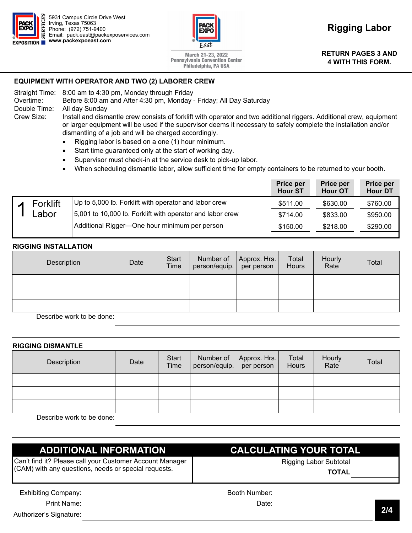

**Rigging Labor** 

**Discount Deadline: FERRICAL STARS (excludes labor) 4 WITH THIS FORM. No Discount on Labor. RETURN PAGES 3 AND** 

March 21-23, 2022 **Pennsylvania Convention Center** Philadelphia, PA USA

# **EQUIPMENT WITH OPERATOR AND TWO (2) LABORER CREW**

Straight Time: 8:00 am to 4:30 pm, Monday through Friday Overtime: Before 8:00 am and After 4:30 pm, Monday - Friday; All Day Saturday Double Time: All day Sunday Crew Size: Install and dismantle crew consists of forklift with operator and two additional riggers. Additional crew, equipment or larger equipment will be used if the supervisor deems it necessary to safely complete the installation and/or dismantling of a job and will be charged accordingly.

- Rigging labor is based on a one (1) hour minimum.
- Start time guaranteed only at the start of working day.
- Supervisor must check-in at the service desk to pick-up labor.
- When scheduling dismantle labor, allow sufficient time for empty containers to be returned to your booth.

|                 |                                                           | Price per<br><b>Hour ST</b> | <b>Price per</b><br><b>Hour OT</b> | Price per<br><b>Hour DT</b> |
|-----------------|-----------------------------------------------------------|-----------------------------|------------------------------------|-----------------------------|
| <b>Forklift</b> | Up to 5,000 lb. Forklift with operator and labor crew     | \$511.00                    | \$630.00                           | \$760.00                    |
| ∟abor           | 5,001 to 10,000 lb. Forklift with operator and labor crew | \$714.00                    | \$833.00                           | \$950.00                    |
|                 | Additional Rigger-One hour minimum per person             | \$150.00                    | \$218.00                           | \$290.00                    |

# **RIGGING INSTALLATION**

| Description                                                                                                    | Date | Start<br>Time | person/equip. per person | Number of   Approx. Hrs. | Total<br>Hours | Hourly<br>Rate | Total |
|----------------------------------------------------------------------------------------------------------------|------|---------------|--------------------------|--------------------------|----------------|----------------|-------|
|                                                                                                                |      |               |                          |                          |                |                |       |
|                                                                                                                |      |               |                          |                          |                |                |       |
|                                                                                                                |      |               |                          |                          |                |                |       |
| Departdent consider the state of the state of the state of the state of the state of the state of the state of |      |               |                          |                          |                |                |       |

Describe work to be done:

### **RIGGING DISMANTLE**

| Description | Date | Start<br>Time | person/equip. per person | Number of Approx. Hrs. | Total<br>Hours | Hourly<br>Rate | Total |
|-------------|------|---------------|--------------------------|------------------------|----------------|----------------|-------|
|             |      |               |                          |                        |                |                |       |
|             |      |               |                          |                        |                |                |       |
|             |      |               |                          |                        |                |                |       |

Describe work to be done:

# **ADDITIONAL INFORMATION CALCULATING YOUR TOTAL**

Can't find it? Please call your Customer Account Manager (CAM) with any questions, needs or special requests.

Rigging Labor Subtotal **TOTAL** 

| <b>Exhibiting Company:</b> | Booth Number: |  |
|----------------------------|---------------|--|
| Print Name:                | Date:         |  |
| Authorizer's Signature:    |               |  |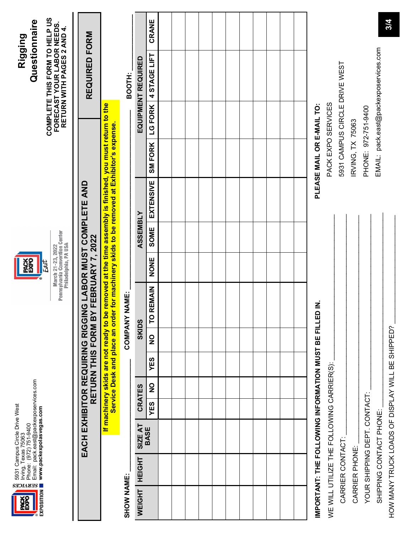|                                                                                                                                                     |                                                          |                                                                                                                                                             |               |                           |                  |  |  |  |  |  |                                                        |                                           |                               |                  |                              |                                       | 3/4 |
|-----------------------------------------------------------------------------------------------------------------------------------------------------|----------------------------------------------------------|-------------------------------------------------------------------------------------------------------------------------------------------------------------|---------------|---------------------------|------------------|--|--|--|--|--|--------------------------------------------------------|-------------------------------------------|-------------------------------|------------------|------------------------------|---------------------------------------|-----|
|                                                                                                                                                     |                                                          |                                                                                                                                                             |               |                           | CRANE            |  |  |  |  |  |                                                        |                                           |                               |                  |                              |                                       |     |
| Questionnaire<br>Rigging                                                                                                                            | <b>REQUIRED FORM</b>                                     |                                                                                                                                                             |               |                           |                  |  |  |  |  |  |                                                        |                                           |                               |                  |                              |                                       |     |
|                                                                                                                                                     |                                                          |                                                                                                                                                             | BOOTH:        |                           | 4 STAGE LIFT     |  |  |  |  |  |                                                        |                                           |                               |                  |                              |                                       |     |
| COMPLETE THIS FORM TO HELP US<br>FORECAST YOUR LABOR NEEDS.<br>RETURN WITH PAGES 2 AND 4.                                                           |                                                          |                                                                                                                                                             |               | <b>EQUIPMENT REQUIRED</b> | <b>LG FORK</b>   |  |  |  |  |  |                                                        |                                           |                               |                  |                              |                                       |     |
|                                                                                                                                                     |                                                          |                                                                                                                                                             |               |                           |                  |  |  |  |  |  |                                                        |                                           |                               |                  |                              |                                       |     |
|                                                                                                                                                     |                                                          |                                                                                                                                                             |               |                           | SM FORK          |  |  |  |  |  | PLEASE MAIL OR E-MAIL TO:                              | PACK EXPO SERVICES                        | 5931 CAMPUS CIRCLE DRIVE WEST | IRVING, TX 75063 | PHONE: 972-751-9400          | EMAIL: pack.east@packexposervices.com |     |
|                                                                                                                                                     |                                                          |                                                                                                                                                             |               |                           |                  |  |  |  |  |  |                                                        |                                           |                               |                  |                              |                                       |     |
|                                                                                                                                                     |                                                          |                                                                                                                                                             |               |                           | EXTENSIVE        |  |  |  |  |  |                                                        |                                           |                               |                  |                              |                                       |     |
|                                                                                                                                                     |                                                          |                                                                                                                                                             |               | <b>ASSEMBLY</b>           | SOME             |  |  |  |  |  |                                                        |                                           |                               |                  |                              |                                       |     |
| Pennsylvania Convention Center<br>Philadelphia, PA USA<br>March 21-23, 2022                                                                         | <b>LABOR MUST COMPLETE AND</b><br><b>EBRUARY 7, 2022</b> | moved at the time assembly is finished, you must return to the<br>Service Desk and place an order for machinery skids to be removed at Exhibitor's expense. |               |                           | NONE             |  |  |  |  |  |                                                        |                                           |                               |                  |                              |                                       |     |
|                                                                                                                                                     |                                                          |                                                                                                                                                             |               |                           |                  |  |  |  |  |  |                                                        |                                           |                               |                  |                              |                                       |     |
|                                                                                                                                                     |                                                          |                                                                                                                                                             |               |                           | <b>TO REMAIN</b> |  |  |  |  |  |                                                        |                                           |                               |                  |                              |                                       |     |
|                                                                                                                                                     | RETURN THIS FORM BY F                                    | If machinery skids are not ready to be re                                                                                                                   | COMPANY NAME: | <b>SKIDS</b>              | $\frac{1}{2}$    |  |  |  |  |  |                                                        |                                           |                               |                  |                              |                                       |     |
|                                                                                                                                                     |                                                          |                                                                                                                                                             |               |                           | YES              |  |  |  |  |  |                                                        |                                           |                               |                  |                              |                                       |     |
|                                                                                                                                                     |                                                          |                                                                                                                                                             |               |                           | $\frac{1}{2}$    |  |  |  |  |  |                                                        |                                           |                               |                  |                              |                                       |     |
|                                                                                                                                                     |                                                          |                                                                                                                                                             |               | CRATES                    | YES              |  |  |  |  |  |                                                        |                                           |                               |                  |                              |                                       |     |
|                                                                                                                                                     | EACH EXHIBITOR REQUIRING RIGGING                         |                                                                                                                                                             |               | SIZE AT                   | <b>BASE</b>      |  |  |  |  |  |                                                        |                                           |                               |                  |                              |                                       |     |
| 5931 Campus Circle Drive West<br>Irving, Texas 75063<br>Phone: (972) 751-9400<br>Ernail: pack.east@packexposervices.com<br>www.packexpolasvegas.com |                                                          |                                                                                                                                                             |               | <b>HEIGHT</b>             |                  |  |  |  |  |  | IMPORTANT: THE FOLLOWING INFORMATION MUST BE FILLED IN | WE WILL UTILIZE THE FOLLOWING CARRIER(S): | CARRIER CONTACT:              | CARRIER PHONE:   | YOUR SHIPPING DEPT. CONTACT: | SHIPPING CONTACT PHONE:               |     |
| ERN DES                                                                                                                                             |                                                          |                                                                                                                                                             | SHOW NAME:    | WEIGHT                    |                  |  |  |  |  |  |                                                        |                                           |                               |                  |                              |                                       |     |